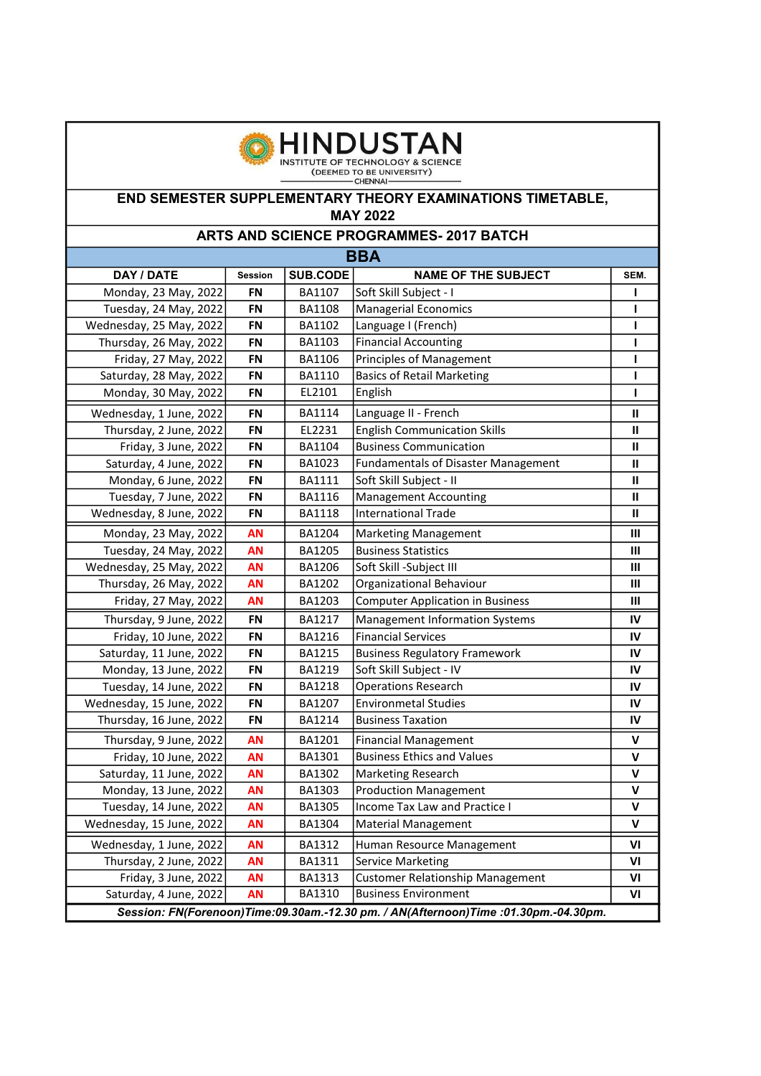

| <b>BBA</b>                                                                         |                |                 |                                            |                |  |
|------------------------------------------------------------------------------------|----------------|-----------------|--------------------------------------------|----------------|--|
| DAY / DATE                                                                         | <b>Session</b> | <b>SUB.CODE</b> | <b>NAME OF THE SUBJECT</b>                 | SEM.           |  |
| Monday, 23 May, 2022                                                               | <b>FN</b>      | <b>BA1107</b>   | Soft Skill Subject - I                     | ı              |  |
| Tuesday, 24 May, 2022                                                              | FN             | BA1108          | <b>Managerial Economics</b>                | ı              |  |
| Wednesday, 25 May, 2022                                                            | <b>FN</b>      | BA1102          | Language I (French)                        | п              |  |
| Thursday, 26 May, 2022                                                             | <b>FN</b>      | BA1103          | <b>Financial Accounting</b>                | ı              |  |
| Friday, 27 May, 2022                                                               | FN             | BA1106          | <b>Principles of Management</b>            | L              |  |
| Saturday, 28 May, 2022                                                             | <b>FN</b>      | BA1110          | <b>Basics of Retail Marketing</b>          | ı              |  |
| Monday, 30 May, 2022                                                               | <b>FN</b>      | EL2101          | English                                    | т              |  |
| Wednesday, 1 June, 2022                                                            | <b>FN</b>      | BA1114          | Language II - French                       | $\mathbf{II}$  |  |
| Thursday, 2 June, 2022                                                             | <b>FN</b>      | EL2231          | <b>English Communication Skills</b>        | Ш              |  |
| Friday, 3 June, 2022                                                               | <b>FN</b>      | BA1104          | <b>Business Communication</b>              | Ш              |  |
| Saturday, 4 June, 2022                                                             | FN             | BA1023          | <b>Fundamentals of Disaster Management</b> | $\mathbf{u}$   |  |
| Monday, 6 June, 2022                                                               | <b>FN</b>      | BA1111          | Soft Skill Subject - II                    | Ш              |  |
| Tuesday, 7 June, 2022                                                              | <b>FN</b>      | BA1116          | <b>Management Accounting</b>               | Ш              |  |
| Wednesday, 8 June, 2022                                                            | <b>FN</b>      | <b>BA1118</b>   | <b>International Trade</b>                 | Ш              |  |
| Monday, 23 May, 2022                                                               | <b>AN</b>      | BA1204          | <b>Marketing Management</b>                | Ш              |  |
| Tuesday, 24 May, 2022                                                              | AN             | BA1205          | <b>Business Statistics</b>                 | Ш              |  |
| Wednesday, 25 May, 2022                                                            | <b>AN</b>      | BA1206          | Soft Skill -Subject III                    | Ш              |  |
| Thursday, 26 May, 2022                                                             | <b>AN</b>      | BA1202          | Organizational Behaviour                   | $\mathbf{III}$ |  |
| Friday, 27 May, 2022                                                               | <b>AN</b>      | BA1203          | <b>Computer Application in Business</b>    | Ш              |  |
| Thursday, 9 June, 2022                                                             | FN             | BA1217          | <b>Management Information Systems</b>      | IV             |  |
| Friday, 10 June, 2022                                                              | <b>FN</b>      | BA1216          | <b>Financial Services</b>                  | IV             |  |
| Saturday, 11 June, 2022                                                            | <b>FN</b>      | BA1215          | <b>Business Regulatory Framework</b>       | IV             |  |
| Monday, 13 June, 2022                                                              | <b>FN</b>      | BA1219          | Soft Skill Subject - IV                    | IV             |  |
| Tuesday, 14 June, 2022                                                             | <b>FN</b>      | BA1218          | <b>Operations Research</b>                 | IV             |  |
| Wednesday, 15 June, 2022                                                           | <b>FN</b>      | BA1207          | <b>Environmetal Studies</b>                | IV             |  |
| Thursday, 16 June, 2022                                                            | FN             | BA1214          | <b>Business Taxation</b>                   | IV             |  |
| Thursday, 9 June, 2022                                                             | <b>AN</b>      | BA1201          | <b>Financial Management</b>                | $\mathsf{v}$   |  |
| Friday, 10 June, 2022                                                              | AN             | BA1301          | <b>Business Ethics and Values</b>          | $\mathsf{v}$   |  |
| Saturday, 11 June, 2022                                                            | <b>AN</b>      | BA1302          | <b>Marketing Research</b>                  | $\mathsf{v}$   |  |
| Monday, 13 June, 2022                                                              | <b>AN</b>      | BA1303          | <b>Production Management</b>               | $\mathsf{v}$   |  |
| Tuesday, 14 June, 2022                                                             | AN             | BA1305          | Income Tax Law and Practice I              | V              |  |
| Wednesday, 15 June, 2022                                                           | <b>AN</b>      | BA1304          | Material Management                        | $\mathsf{V}$   |  |
| Wednesday, 1 June, 2022                                                            | <b>AN</b>      | BA1312          | Human Resource Management                  | VI             |  |
| Thursday, 2 June, 2022                                                             | <b>AN</b>      | BA1311          | <b>Service Marketing</b>                   | ٧I             |  |
| Friday, 3 June, 2022                                                               | AN             | BA1313          | <b>Customer Relationship Management</b>    | VI             |  |
| Saturday, 4 June, 2022                                                             | <b>AN</b>      | BA1310          | <b>Business Environment</b>                | VI             |  |
| Session: FN(Forenoon)Time:09.30am.-12.30 pm. / AN(Afternoon)Time:01.30pm.-04.30pm. |                |                 |                                            |                |  |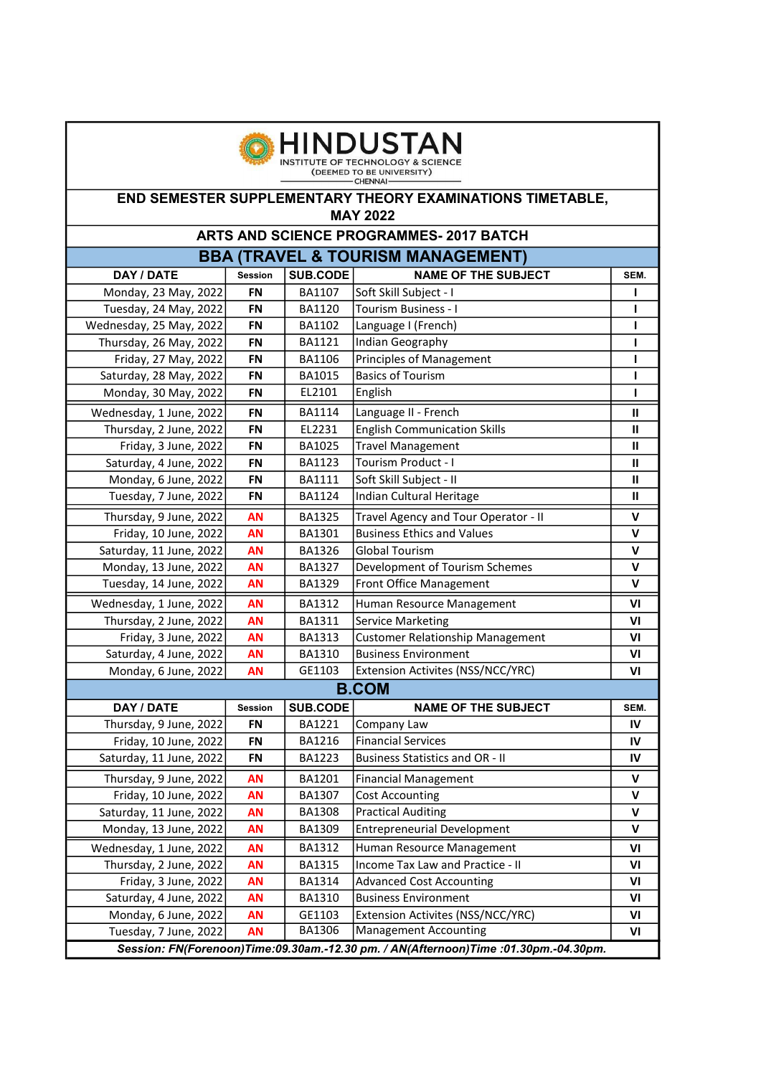

| <b>BBA (TRAVEL &amp; TOURISM MANAGEMENT)</b>                                        |                |                 |                                         |                    |  |
|-------------------------------------------------------------------------------------|----------------|-----------------|-----------------------------------------|--------------------|--|
| DAY / DATE                                                                          | <b>Session</b> | SUB.CODE        | <b>NAME OF THE SUBJECT</b>              | SEM.               |  |
| Monday, 23 May, 2022                                                                | <b>FN</b>      | BA1107          | Soft Skill Subject - I                  |                    |  |
| Tuesday, 24 May, 2022                                                               | <b>FN</b>      | BA1120          | Tourism Business - I                    | ı                  |  |
| Wednesday, 25 May, 2022                                                             | <b>FN</b>      | BA1102          | Language I (French)                     | п                  |  |
| Thursday, 26 May, 2022                                                              | <b>FN</b>      | BA1121          | Indian Geography                        | ı                  |  |
| Friday, 27 May, 2022                                                                | <b>FN</b>      | BA1106          | <b>Principles of Management</b>         | ı                  |  |
| Saturday, 28 May, 2022                                                              | <b>FN</b>      | BA1015          | <b>Basics of Tourism</b>                | L                  |  |
| Monday, 30 May, 2022                                                                | <b>FN</b>      | EL2101          | English                                 | п                  |  |
| Wednesday, 1 June, 2022                                                             | <b>FN</b>      | BA1114          | Language II - French                    | $\mathbf{H}$       |  |
| Thursday, 2 June, 2022                                                              | <b>FN</b>      | EL2231          | <b>English Communication Skills</b>     | Ш                  |  |
| Friday, 3 June, 2022                                                                | <b>FN</b>      | BA1025          | <b>Travel Management</b>                | Ш                  |  |
| Saturday, 4 June, 2022                                                              | <b>FN</b>      | BA1123          | Tourism Product - I                     | Ш                  |  |
| Monday, 6 June, 2022                                                                | <b>FN</b>      | <b>BA1111</b>   | Soft Skill Subject - II                 | $\mathbf{H}$       |  |
| Tuesday, 7 June, 2022                                                               | <b>FN</b>      | BA1124          | Indian Cultural Heritage                | $\mathbf{H}$       |  |
| Thursday, 9 June, 2022                                                              | <b>AN</b>      | BA1325          | Travel Agency and Tour Operator - II    | $\mathbf v$        |  |
| Friday, 10 June, 2022                                                               | <b>AN</b>      | BA1301          | <b>Business Ethics and Values</b>       | V                  |  |
| Saturday, 11 June, 2022                                                             | <b>AN</b>      | BA1326          | <b>Global Tourism</b>                   | $\mathbf v$        |  |
| Monday, 13 June, 2022                                                               | <b>AN</b>      | BA1327          | Development of Tourism Schemes          | V                  |  |
| Tuesday, 14 June, 2022                                                              | <b>AN</b>      | BA1329          | Front Office Management                 | $\mathsf{v}$       |  |
| Wednesday, 1 June, 2022                                                             | <b>AN</b>      | BA1312          | Human Resource Management               | V <sub>l</sub>     |  |
| Thursday, 2 June, 2022                                                              | <b>AN</b>      | BA1311          | <b>Service Marketing</b>                | VI                 |  |
| Friday, 3 June, 2022                                                                | <b>AN</b>      | BA1313          | <b>Customer Relationship Management</b> | VI                 |  |
| Saturday, 4 June, 2022                                                              | AN             | BA1310          | <b>Business Environment</b>             | VI                 |  |
| Monday, 6 June, 2022                                                                | <b>AN</b>      | GE1103          | Extension Activites (NSS/NCC/YRC)       | VI                 |  |
|                                                                                     | <b>B.COM</b>   |                 |                                         |                    |  |
| DAY / DATE                                                                          | Session        | <b>SUB.CODE</b> | <b>NAME OF THE SUBJECT</b>              | SEM.               |  |
| Thursday, 9 June, 2022                                                              | <b>FN</b>      | BA1221          | Company Law                             | IV                 |  |
| Friday, 10 June, 2022                                                               | FN             | BA1216          | <b>Financial Services</b>               | IV                 |  |
| Saturday, 11 June, 2022                                                             | <b>FN</b>      | <b>BA1223</b>   | <b>Business Statistics and OR - II</b>  | IV                 |  |
| Thursday, 9 June, 2022                                                              | <b>AN</b>      | BA1201          | <b>Financial Management</b>             | $\mathsf{v}$       |  |
| Friday, 10 June, 2022                                                               | <b>AN</b>      | BA1307          | <b>Cost Accounting</b>                  | $\pmb{\mathsf{V}}$ |  |
| Saturday, 11 June, 2022                                                             | <b>AN</b>      | <b>BA1308</b>   | <b>Practical Auditing</b>               | $\mathsf{v}$       |  |
| Monday, 13 June, 2022                                                               | <b>AN</b>      | BA1309          | <b>Entrepreneurial Development</b>      | v                  |  |
| Wednesday, 1 June, 2022                                                             | AN             | BA1312          | Human Resource Management               | VI                 |  |
| Thursday, 2 June, 2022                                                              | <b>AN</b>      | BA1315          | Income Tax Law and Practice - II        | VI                 |  |
| Friday, 3 June, 2022                                                                | AN             | BA1314          | <b>Advanced Cost Accounting</b>         | VI                 |  |
| Saturday, 4 June, 2022                                                              | <b>AN</b>      | BA1310          | <b>Business Environment</b>             | VI                 |  |
| Monday, 6 June, 2022                                                                | <b>AN</b>      | GE1103          | Extension Activites (NSS/NCC/YRC)       | VI                 |  |
| Tuesday, 7 June, 2022                                                               | <b>AN</b>      | BA1306          | <b>Management Accounting</b>            | VI                 |  |
| Session: FN(Forenoon)Time:09.30am.-12.30 pm. / AN(Afternoon)Time :01.30pm.-04.30pm. |                |                 |                                         |                    |  |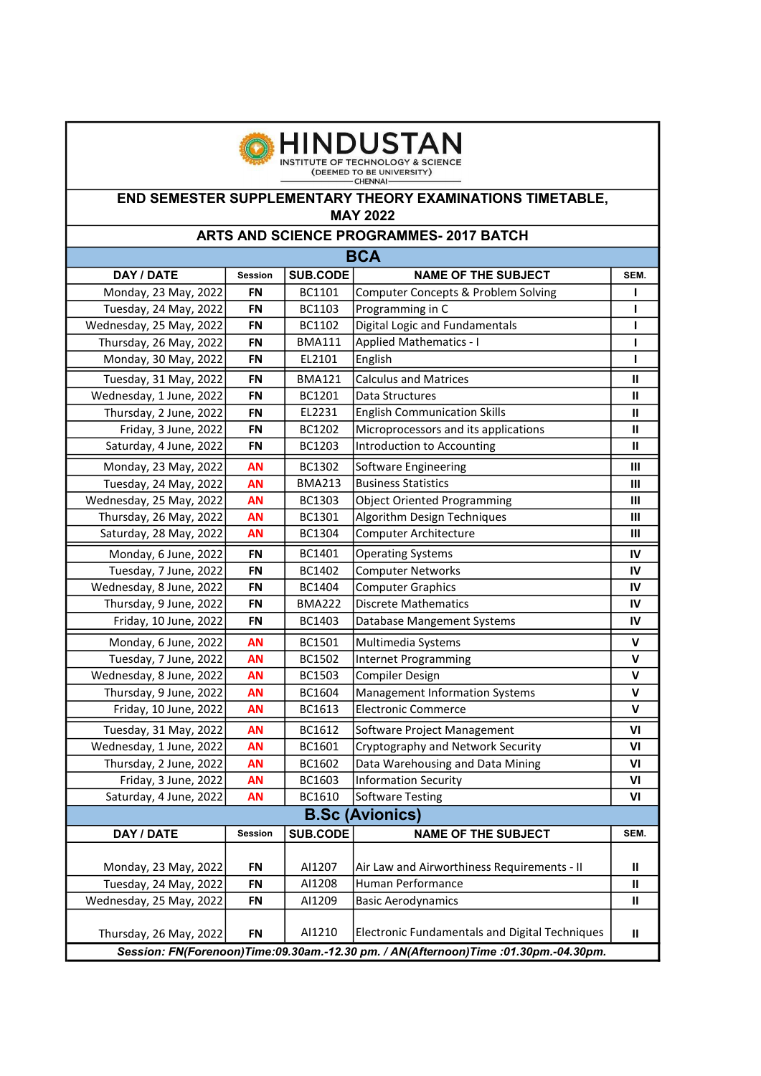

| <b>BCA</b>                                                                          |                |                 |                                                |                |  |
|-------------------------------------------------------------------------------------|----------------|-----------------|------------------------------------------------|----------------|--|
| DAY / DATE                                                                          | <b>Session</b> | <b>SUB.CODE</b> | <b>NAME OF THE SUBJECT</b>                     | SEM.           |  |
| Monday, 23 May, 2022                                                                | <b>FN</b>      | BC1101          | <b>Computer Concepts &amp; Problem Solving</b> | ı              |  |
| Tuesday, 24 May, 2022                                                               | <b>FN</b>      | BC1103          | Programming in C                               | п              |  |
| Wednesday, 25 May, 2022                                                             | <b>FN</b>      | BC1102          | Digital Logic and Fundamentals                 | ı              |  |
| Thursday, 26 May, 2022                                                              | <b>FN</b>      | <b>BMA111</b>   | <b>Applied Mathematics - I</b>                 | L              |  |
| Monday, 30 May, 2022                                                                | <b>FN</b>      | EL2101          | English                                        | т              |  |
| Tuesday, 31 May, 2022                                                               | <b>FN</b>      | <b>BMA121</b>   | <b>Calculus and Matrices</b>                   | $\mathbf{H}$   |  |
| Wednesday, 1 June, 2022                                                             | <b>FN</b>      | BC1201          | Data Structures                                | Ш              |  |
| Thursday, 2 June, 2022                                                              | <b>FN</b>      | EL2231          | <b>English Communication Skills</b>            | Ш              |  |
| Friday, 3 June, 2022                                                                | <b>FN</b>      | BC1202          | Microprocessors and its applications           | Ш              |  |
| Saturday, 4 June, 2022                                                              | <b>FN</b>      | BC1203          | Introduction to Accounting                     | $\mathbf{H}$   |  |
| Monday, 23 May, 2022                                                                | <b>AN</b>      | BC1302          | Software Engineering                           | Ш              |  |
| Tuesday, 24 May, 2022                                                               | <b>AN</b>      | <b>BMA213</b>   | <b>Business Statistics</b>                     | $\mathbf{III}$ |  |
| Wednesday, 25 May, 2022                                                             | <b>AN</b>      | BC1303          | <b>Object Oriented Programming</b>             | Ш              |  |
| Thursday, 26 May, 2022                                                              | <b>AN</b>      | BC1301          | Algorithm Design Techniques                    | III            |  |
| Saturday, 28 May, 2022                                                              | <b>AN</b>      | BC1304          | <b>Computer Architecture</b>                   | Ш              |  |
| Monday, 6 June, 2022                                                                | <b>FN</b>      | BC1401          | <b>Operating Systems</b>                       | IV             |  |
| Tuesday, 7 June, 2022                                                               | <b>FN</b>      | BC1402          | <b>Computer Networks</b>                       | IV             |  |
| Wednesday, 8 June, 2022                                                             | <b>FN</b>      | BC1404          | <b>Computer Graphics</b>                       | IV             |  |
| Thursday, 9 June, 2022                                                              | <b>FN</b>      | <b>BMA222</b>   | <b>Discrete Mathematics</b>                    | IV             |  |
| Friday, 10 June, 2022                                                               | <b>FN</b>      | BC1403          | Database Mangement Systems                     | IV             |  |
| Monday, 6 June, 2022                                                                | <b>AN</b>      | BC1501          | Multimedia Systems                             | $\mathsf{v}$   |  |
| Tuesday, 7 June, 2022                                                               | <b>AN</b>      | BC1502          | <b>Internet Programming</b>                    | V              |  |
| Wednesday, 8 June, 2022                                                             | <b>AN</b>      | BC1503          | <b>Compiler Design</b>                         | $\mathsf{v}$   |  |
| Thursday, 9 June, 2022                                                              | <b>AN</b>      | BC1604          | Management Information Systems                 | V              |  |
| Friday, 10 June, 2022                                                               | <b>AN</b>      | BC1613          | <b>Electronic Commerce</b>                     | $\mathbf v$    |  |
| Tuesday, 31 May, 2022                                                               | <b>AN</b>      | BC1612          | Software Project Management                    | V <sub>l</sub> |  |
| Wednesday, 1 June, 2022                                                             | <b>AN</b>      | BC1601          | Cryptography and Network Security              | V <sub>l</sub> |  |
| Thursday, 2 June, 2022                                                              | <b>AN</b>      | BC1602          | Data Warehousing and Data Mining               | VI             |  |
| Friday, 3 June, 2022                                                                | <b>AN</b>      | BC1603          | <b>Information Security</b>                    | VI             |  |
| Saturday, 4 June, 2022                                                              | <b>AN</b>      | BC1610          | <b>Software Testing</b>                        | VI             |  |
| <b>B.Sc (Avionics)</b>                                                              |                |                 |                                                |                |  |
| DAY / DATE                                                                          | <b>Session</b> | <b>SUB.CODE</b> | <b>NAME OF THE SUBJECT</b>                     | SEM.           |  |
|                                                                                     |                |                 |                                                |                |  |
| Monday, 23 May, 2022                                                                | <b>FN</b>      | AI1207          | Air Law and Airworthiness Requirements - II    | Ш              |  |
| Tuesday, 24 May, 2022                                                               | <b>FN</b>      | AI1208          | Human Performance                              | Ш              |  |
| Wednesday, 25 May, 2022                                                             | <b>FN</b>      | AI1209          | <b>Basic Aerodynamics</b>                      | Ш              |  |
| Thursday, 26 May, 2022                                                              | <b>FN</b>      | AI1210          | Electronic Fundamentals and Digital Techniques | $\mathbf{u}$   |  |
| Session: FN(Forenoon)Time:09.30am.-12.30 pm. / AN(Afternoon)Time :01.30pm.-04.30pm. |                |                 |                                                |                |  |